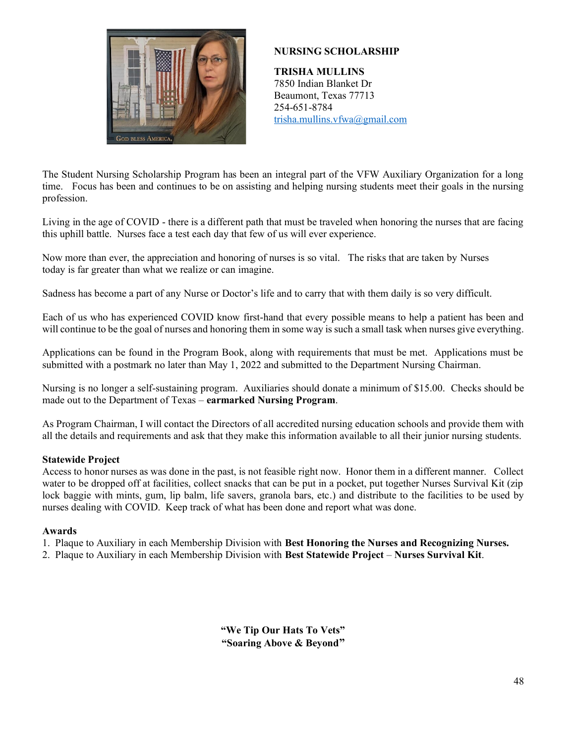

### **NURSING SCHOLARSHIP**

**TRISHA MULLINS** 7850 Indian Blanket Dr Beaumont, Texas 77713 254-651-8784 trisha.mullins.vfwa@gmail.com

The Student Nursing Scholarship Program has been an integral part of the VFW Auxiliary Organization for a long time. Focus has been and continues to be on assisting and helping nursing students meet their goals in the nursing profession.

Living in the age of COVID - there is a different path that must be traveled when honoring the nurses that are facing this uphill battle. Nurses face a test each day that few of us will ever experience.

Now more than ever, the appreciation and honoring of nurses is so vital. The risks that are taken by Nurses today is far greater than what we realize or can imagine.

Sadness has become a part of any Nurse or Doctor's life and to carry that with them daily is so very difficult.

Each of us who has experienced COVID know first-hand that every possible means to help a patient has been and will continue to be the goal of nurses and honoring them in some way is such a small task when nurses give everything.

Applications can be found in the Program Book, along with requirements that must be met. Applications must be submitted with a postmark no later than May 1, 2022 and submitted to the Department Nursing Chairman.

Nursing is no longer a self-sustaining program. Auxiliaries should donate a minimum of \$15.00. Checks should be made out to the Department of Texas – **earmarked Nursing Program**.

As Program Chairman, I will contact the Directors of all accredited nursing education schools and provide them with all the details and requirements and ask that they make this information available to all their junior nursing students.

#### **Statewide Project**

Access to honor nurses as was done in the past, is not feasible right now. Honor them in a different manner. Collect water to be dropped off at facilities, collect snacks that can be put in a pocket, put together Nurses Survival Kit (zip lock baggie with mints, gum, lip balm, life savers, granola bars, etc.) and distribute to the facilities to be used by nurses dealing with COVID. Keep track of what has been done and report what was done.

#### **Awards**

1. Plaque to Auxiliary in each Membership Division with **Best Honoring the Nurses and Recognizing Nurses.**

2. Plaque to Auxiliary in each Membership Division with **Best Statewide Project** – **Nurses Survival Kit**.

**"We Tip Our Hats To Vets" "Soaring Above & Beyond"**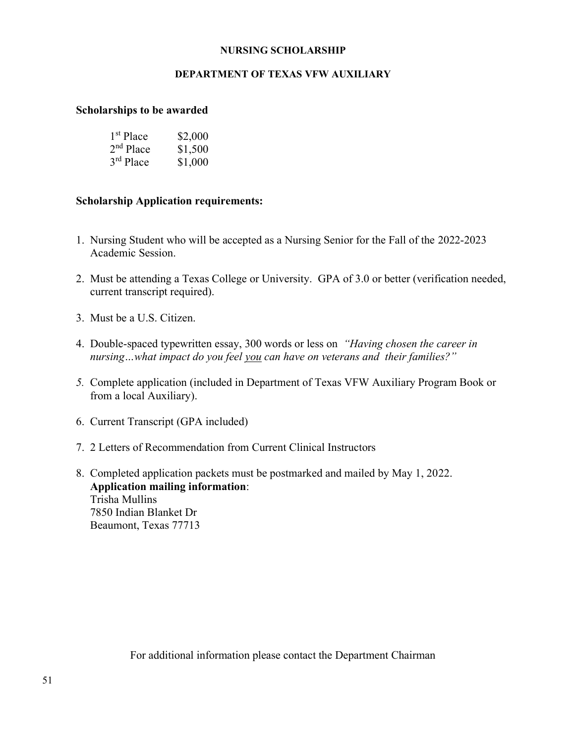#### **NURSING SCHOLARSHIP**

#### **DEPARTMENT OF TEXAS VFW AUXILIARY**

#### **Scholarships to be awarded**

| 1 <sup>st</sup> Place | \$2,000 |
|-----------------------|---------|
| $2nd$ Place           | \$1,500 |
| $3rd$ Place           | \$1,000 |

#### **Scholarship Application requirements:**

- 1. Nursing Student who will be accepted as a Nursing Senior for the Fall of the 2022-2023 Academic Session.
- 2. Must be attending a Texas College or University. GPA of 3.0 or better (verification needed, current transcript required).
- 3. Must be a U.S. Citizen.
- 4. Double-spaced typewritten essay, 300 words or less on *"Having chosen the career in nursing…what impact do you feel you can have on veterans and their families?"*
- *5.* Complete application (included in Department of Texas VFW Auxiliary Program Book or from a local Auxiliary).
- 6. Current Transcript (GPA included)
- 7. 2 Letters of Recommendation from Current Clinical Instructors
- 8. Completed application packets must be postmarked and mailed by May 1, 2022. **Application mailing information**: Trisha Mullins 7850 Indian Blanket Dr Beaumont, Texas 77713